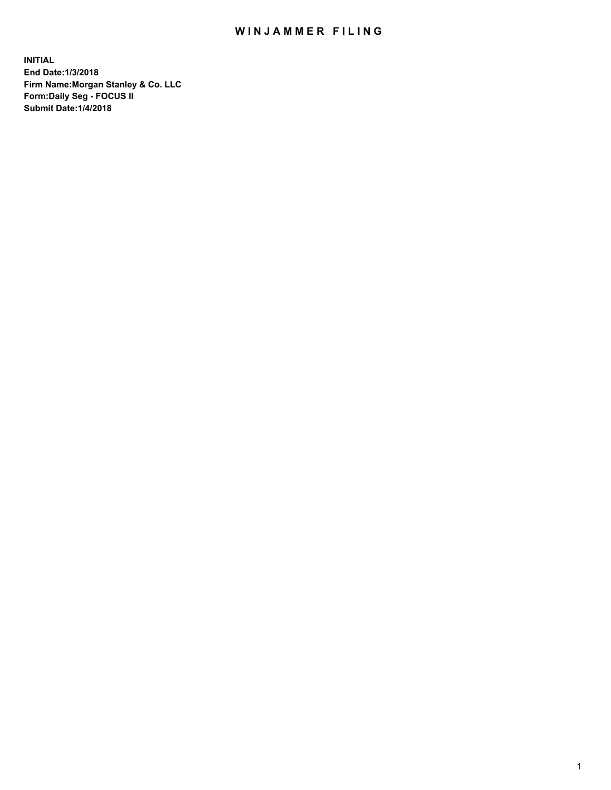## WIN JAMMER FILING

**INITIAL End Date:1/3/2018 Firm Name:Morgan Stanley & Co. LLC Form:Daily Seg - FOCUS II Submit Date:1/4/2018**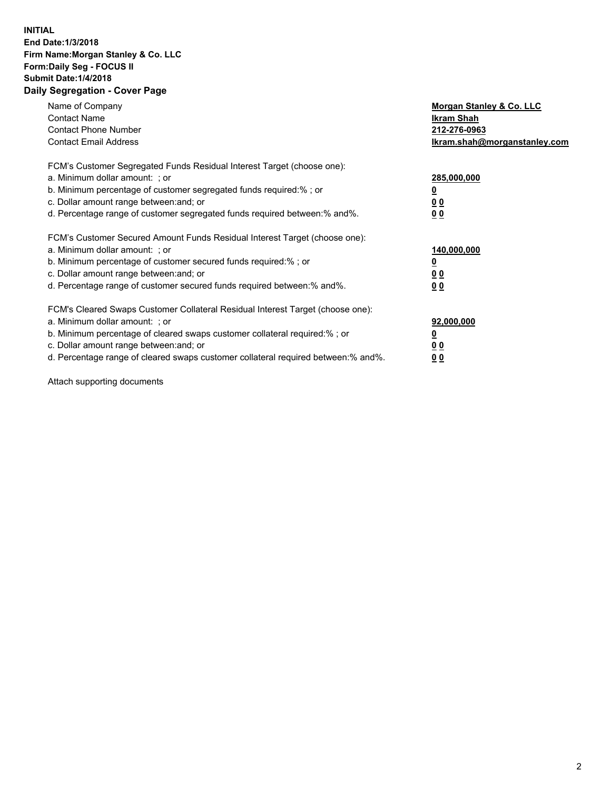## **INITIAL End Date:1/3/2018 Firm Name:Morgan Stanley & Co. LLC Form:Daily Seg - FOCUS II Submit Date:1/4/2018 Daily Segregation - Cover Page**

| Name of Company<br><b>Contact Name</b><br><b>Contact Phone Number</b><br><b>Contact Email Address</b>                                                                                                                                                                                                                          | Morgan Stanley & Co. LLC<br>Ikram Shah<br>212-276-0963<br>lkram.shah@morganstanley.com |
|--------------------------------------------------------------------------------------------------------------------------------------------------------------------------------------------------------------------------------------------------------------------------------------------------------------------------------|----------------------------------------------------------------------------------------|
| FCM's Customer Segregated Funds Residual Interest Target (choose one):<br>a. Minimum dollar amount: ; or<br>b. Minimum percentage of customer segregated funds required:%; or<br>c. Dollar amount range between: and; or<br>d. Percentage range of customer segregated funds required between: % and %.                        | 285,000,000<br>0 <sub>0</sub><br>00                                                    |
| FCM's Customer Secured Amount Funds Residual Interest Target (choose one):<br>a. Minimum dollar amount: ; or<br>b. Minimum percentage of customer secured funds required:%; or<br>c. Dollar amount range between: and; or<br>d. Percentage range of customer secured funds required between:% and%.                            | 140,000,000<br>0 <sub>0</sub><br>0 <sub>0</sub>                                        |
| FCM's Cleared Swaps Customer Collateral Residual Interest Target (choose one):<br>a. Minimum dollar amount: ; or<br>b. Minimum percentage of cleared swaps customer collateral required:% ; or<br>c. Dollar amount range between: and; or<br>d. Percentage range of cleared swaps customer collateral required between:% and%. | 92,000,000<br>0 <sub>0</sub><br>0 <sub>0</sub>                                         |

Attach supporting documents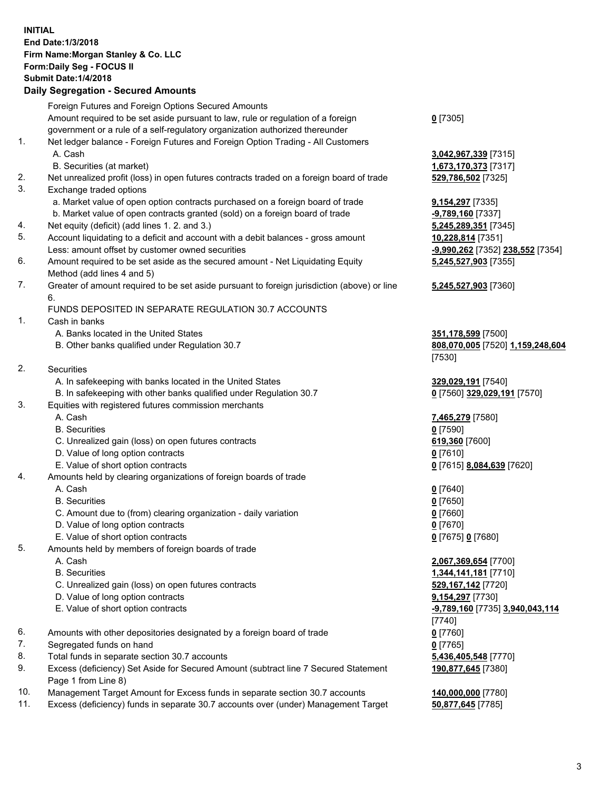## **INITIAL End Date:1/3/2018 Firm Name:Morgan Stanley & Co. LLC Form:Daily Seg - FOCUS II Submit Date:1/4/2018 Daily Segregation - Secured Amounts**

Foreign Futures and Foreign Options Secured Amounts Amount required to be set aside pursuant to law, rule or regulation of a foreign government or a rule of a self-regulatory organization authorized thereunder **0** [7305] 1. Net ledger balance - Foreign Futures and Foreign Option Trading - All Customers A. Cash **3,042,967,339** [7315] B. Securities (at market) **1,673,170,373** [7317] 2. Net unrealized profit (loss) in open futures contracts traded on a foreign board of trade **529,786,502** [7325] 3. Exchange traded options a. Market value of open option contracts purchased on a foreign board of trade **9,154,297** [7335] b. Market value of open contracts granted (sold) on a foreign board of trade **-9,789,160** [7337] 4. Net equity (deficit) (add lines 1. 2. and 3.) **5,245,289,351** [7345] 5. Account liquidating to a deficit and account with a debit balances - gross amount **10,228,814** [7351] Less: amount offset by customer owned securities **-9,990,262** [7352] **238,552** [7354] 6. Amount required to be set aside as the secured amount - Net Liquidating Equity Method (add lines 4 and 5) 7. Greater of amount required to be set aside pursuant to foreign jurisdiction (above) or line 6. FUNDS DEPOSITED IN SEPARATE REGULATION 30.7 ACCOUNTS 1. Cash in banks A. Banks located in the United States **351,178,599** [7500] B. Other banks qualified under Regulation 30.7 **808,070,005** [7520] **1,159,248,604** [7530] 2. Securities A. In safekeeping with banks located in the United States **329,029,191** [7540] B. In safekeeping with other banks qualified under Regulation 30.7 **0** [7560] **329,029,191** [7570] 3. Equities with registered futures commission merchants A. Cash **7,465,279** [7580] B. Securities **0** [7590] C. Unrealized gain (loss) on open futures contracts **619,360** [7600] D. Value of long option contracts **0** [7610] E. Value of short option contracts **0** [7615] **8,084,639** [7620] 4. Amounts held by clearing organizations of foreign boards of trade A. Cash **0** [7640] B. Securities **0** [7650] C. Amount due to (from) clearing organization - daily variation **0** [7660] D. Value of long option contracts **0** [7670] E. Value of short option contracts **0** [7675] **0** [7680] 5. Amounts held by members of foreign boards of trade A. Cash **2,067,369,654** [7700] B. Securities **1,344,141,181** [7710] C. Unrealized gain (loss) on open futures contracts **529,167,142** [7720] D. Value of long option contracts **9,154,297** [7730] E. Value of short option contracts **-9,789,160** [7735] **3,940,043,114**

- 
- 6. Amounts with other depositories designated by a foreign board of trade **0** [7760]
- 7. Segregated funds on hand **0** [7765]
- 8. Total funds in separate section 30.7 accounts **5,436,405,548** [7770]
- 9. Excess (deficiency) Set Aside for Secured Amount (subtract line 7 Secured Statement Page 1 from Line 8)
- 10. Management Target Amount for Excess funds in separate section 30.7 accounts **140,000,000** [7780]
- 11. Excess (deficiency) funds in separate 30.7 accounts over (under) Management Target **50,877,645** [7785]

**5,245,527,903** [7355]

## **5,245,527,903** [7360]

[7740] **190,877,645** [7380]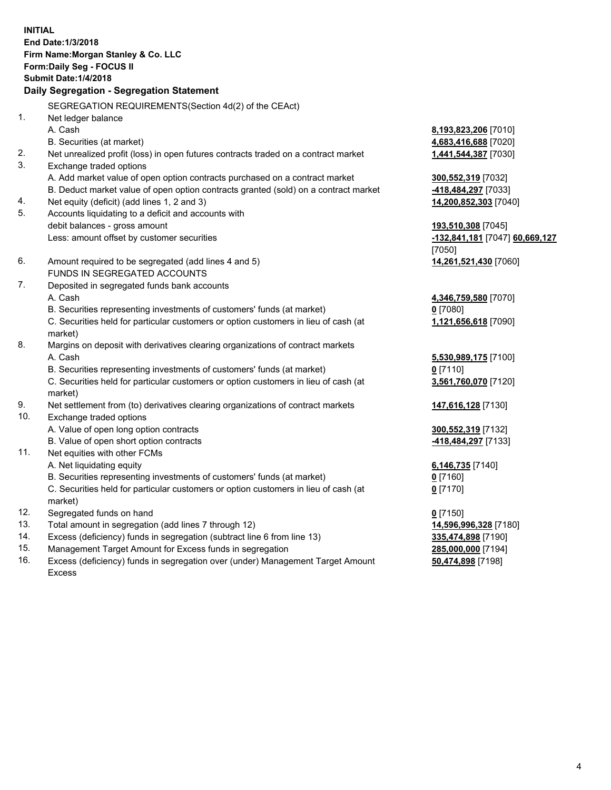**INITIAL End Date:1/3/2018 Firm Name:Morgan Stanley & Co. LLC Form:Daily Seg - FOCUS II Submit Date:1/4/2018 Daily Segregation - Segregation Statement** SEGREGATION REQUIREMENTS(Section 4d(2) of the CEAct) 1. Net ledger balance A. Cash **8,193,823,206** [7010] B. Securities (at market) **4,683,416,688** [7020] 2. Net unrealized profit (loss) in open futures contracts traded on a contract market **1,441,544,387** [7030] 3. Exchange traded options A. Add market value of open option contracts purchased on a contract market **300,552,319** [7032] B. Deduct market value of open option contracts granted (sold) on a contract market **-418,484,297** [7033] 4. Net equity (deficit) (add lines 1, 2 and 3) **14,200,852,303** [7040] 5. Accounts liquidating to a deficit and accounts with debit balances - gross amount **193,510,308** [7045] Less: amount offset by customer securities **-132,841,181** [7047] **60,669,127** [7050] 6. Amount required to be segregated (add lines 4 and 5) **14,261,521,430** [7060] FUNDS IN SEGREGATED ACCOUNTS 7. Deposited in segregated funds bank accounts A. Cash **4,346,759,580** [7070] B. Securities representing investments of customers' funds (at market) **0** [7080] C. Securities held for particular customers or option customers in lieu of cash (at market) **1,121,656,618** [7090] 8. Margins on deposit with derivatives clearing organizations of contract markets A. Cash **5,530,989,175** [7100] B. Securities representing investments of customers' funds (at market) **0** [7110] C. Securities held for particular customers or option customers in lieu of cash (at market) **3,561,760,070** [7120] 9. Net settlement from (to) derivatives clearing organizations of contract markets **147,616,128** [7130] 10. Exchange traded options A. Value of open long option contracts **300,552,319** [7132] B. Value of open short option contracts **-418,484,297** [7133] 11. Net equities with other FCMs A. Net liquidating equity **6,146,735** [7140] B. Securities representing investments of customers' funds (at market) **0** [7160] C. Securities held for particular customers or option customers in lieu of cash (at market) **0** [7170] 12. Segregated funds on hand **0** [7150] 13. Total amount in segregation (add lines 7 through 12) **14,596,996,328** [7180] 14. Excess (deficiency) funds in segregation (subtract line 6 from line 13) **335,474,898** [7190]

- 15. Management Target Amount for Excess funds in segregation **285,000,000** [7194]
- 16. Excess (deficiency) funds in segregation over (under) Management Target Amount Excess

**50,474,898** [7198]